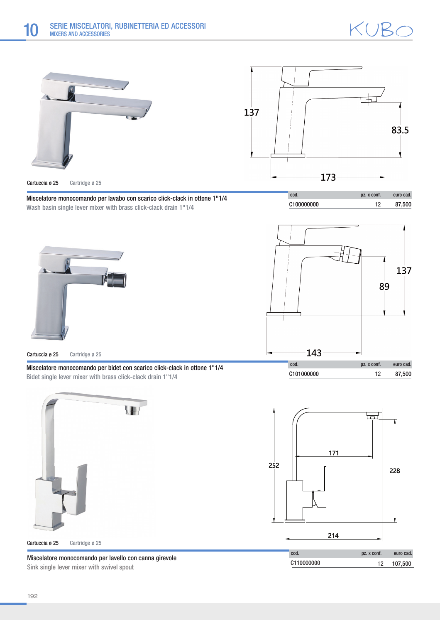